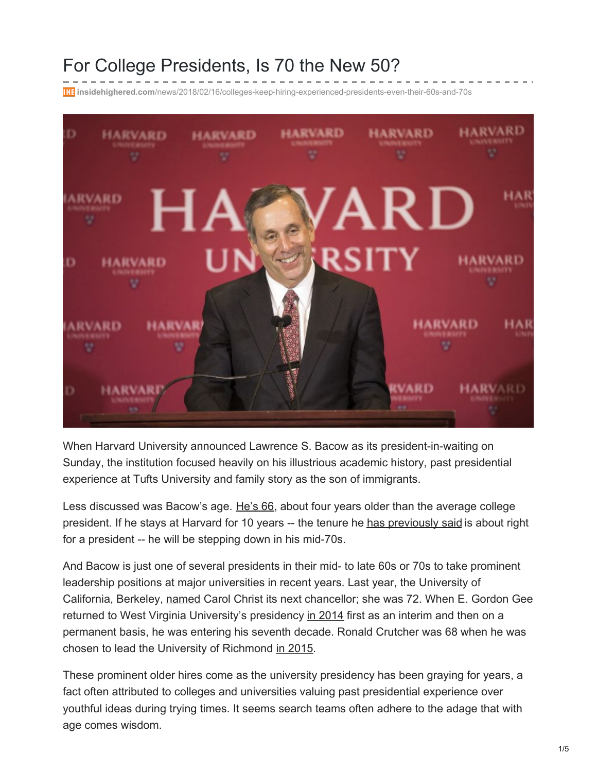## For College Presidents, Is 70 the New 50?

**insidehighered.com**[/news/2018/02/16/colleges-keep-hiring-experienced-presidents-even-their-60s-and-70s](https://www.insidehighered.com/news/2018/02/16/colleges-keep-hiring-experienced-presidents-even-their-60s-and-70s?utm_source=Inside+Higher+Ed&utm_campaign=4e1a705308-DNU20180111&utm_medium=email&utm_term=0_1fcbc04421-4e1a705308-199389709&mc_cid=4e1a705308&mc_eid=5373889558)



When Harvard University announced Lawrence S. Bacow as its president-in-waiting on Sunday, the institution focused heavily on his illustrious academic history, past presidential experience at Tufts University and family story as the son of immigrants.

Less discussed was Bacow's age. [He's](https://www.insidehighered.com/quicktakes/2018/02/12/lawrence-bacow-will-be-next-harvard-president) 66, about four years older than the average college president. If he stays at Harvard for 10 years -- the tenure he has [previously](https://www.insidehighered.com/news/2016/08/29/presidents-medical-leave-raises-questions-tenure-length-and-health) said is about right for a president -- he will be stepping down in his mid-70s.

And Bacow is just one of several presidents in their mid- to late 60s or 70s to take prominent leadership positions at major universities in recent years. Last year, the University of California, Berkeley, [named](https://www.insidehighered.com/quicktakes/2017/03/14/carol-christ-named-next-berkeley-chancellor) Carol Christ its next chancellor; she was 72. When E. Gordon Gee returned to West Virginia University's presidency in [2014](https://www.insidehighered.com/news/2013/12/09/gordon-gee-star-college-president-back) first as an interim and then on a permanent basis, he was entering his seventh decade. Ronald Crutcher was 68 when he was chosen to lead the University of Richmond in [2015](https://www.insidehighered.com/news/2015/05/20/new-presidents-or-provosts-austin-peay-bethany-ecu-mountain-view-richmond-st-clair).

These prominent older hires come as the university presidency has been graying for years, a fact often attributed to colleges and universities valuing past presidential experience over youthful ideas during trying times. It seems search teams often adhere to the adage that with age comes wisdom.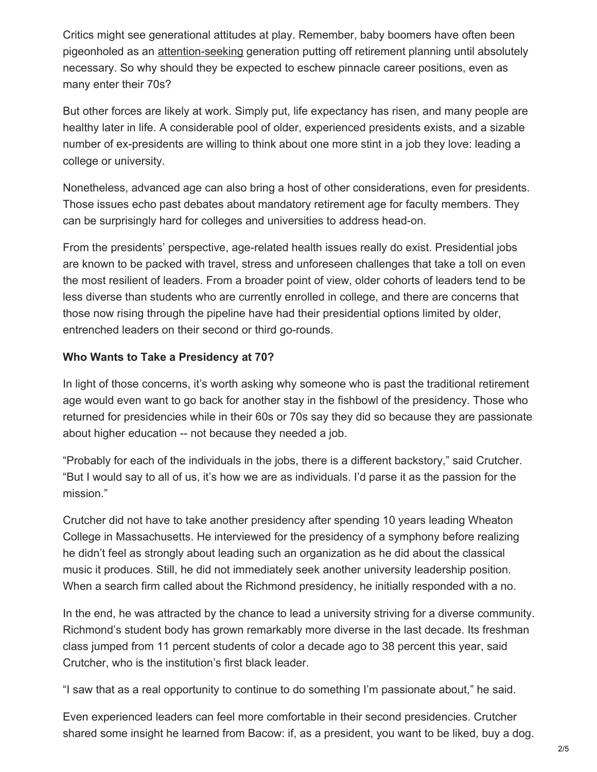Critics might see generational attitudes at play. Remember, baby boomers have often been pigeonholed as an [attention-seeking](https://www.smithsonianmag.com/smithsonian-institution/when-comes-baby-boomers-still-all-about-me-180953030/) generation putting off retirement planning until absolutely necessary. So why should they be expected to eschew pinnacle career positions, even as many enter their 70s?

But other forces are likely at work. Simply put, life expectancy has risen, and many people are healthy later in life. A considerable pool of older, experienced presidents exists, and a sizable number of ex-presidents are willing to think about one more stint in a job they love: leading a college or university.

Nonetheless, advanced age can also bring a host of other considerations, even for presidents. Those issues echo past debates about mandatory retirement age for faculty members. They can be surprisingly hard for colleges and universities to address head-on.

From the presidents' perspective, age-related health issues really do exist. Presidential jobs are known to be packed with travel, stress and unforeseen challenges that take a toll on even the most resilient of leaders. From a broader point of view, older cohorts of leaders tend to be less diverse than students who are currently enrolled in college, and there are concerns that those now rising through the pipeline have had their presidential options limited by older, entrenched leaders on their second or third go-rounds.

## **Who Wants to Take a Presidency at 70?**

In light of those concerns, it's worth asking why someone who is past the traditional retirement age would even want to go back for another stay in the fishbowl of the presidency. Those who returned for presidencies while in their 60s or 70s say they did so because they are passionate about higher education -- not because they needed a job.

"Probably for each of the individuals in the jobs, there is a different backstory," said Crutcher. "But I would say to all of us, it's how we are as individuals. I'd parse it as the passion for the mission."

Crutcher did not have to take another presidency after spending 10 years leading Wheaton College in Massachusetts. He interviewed for the presidency of a symphony before realizing he didn't feel as strongly about leading such an organization as he did about the classical music it produces. Still, he did not immediately seek another university leadership position. When a search firm called about the Richmond presidency, he initially responded with a no.

In the end, he was attracted by the chance to lead a university striving for a diverse community. Richmond's student body has grown remarkably more diverse in the last decade. Its freshman class jumped from 11 percent students of color a decade ago to 38 percent this year, said Crutcher, who is the institution's first black leader.

"I saw that as a real opportunity to continue to do something I'm passionate about," he said.

Even experienced leaders can feel more comfortable in their second presidencies. Crutcher shared some insight he learned from Bacow: if, as a president, you want to be liked, buy a dog.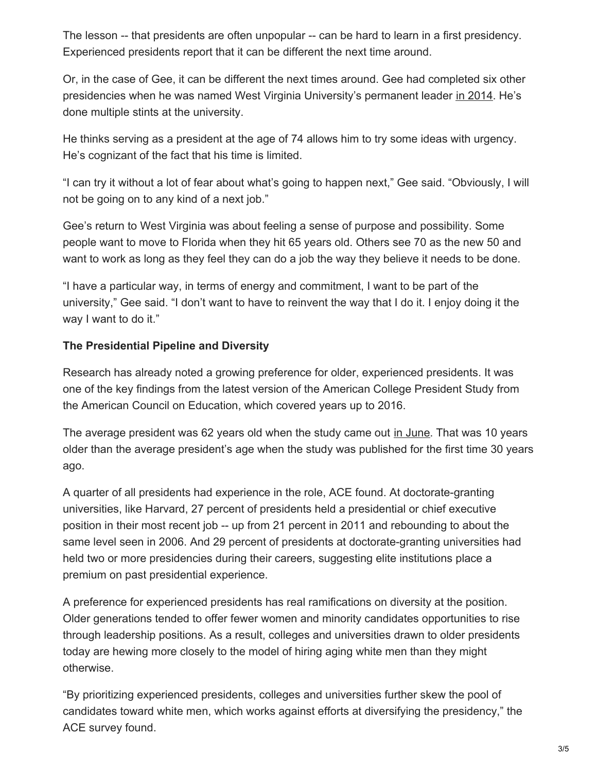The lesson -- that presidents are often unpopular -- can be hard to learn in a first presidency. Experienced presidents report that it can be different the next time around.

Or, in the case of Gee, it can be different the next times around. Gee had completed six other presidencies when he was named West Virginia University's permanent leader in [2014](http://wvutoday-archive.wvu.edu/n/2014/03/03/gee-appointed-west-virginia-university-president-for-a-third-time.html). He's done multiple stints at the university.

He thinks serving as a president at the age of 74 allows him to try some ideas with urgency. He's cognizant of the fact that his time is limited.

"I can try it without a lot of fear about what's going to happen next," Gee said. "Obviously, I will not be going on to any kind of a next job."

Gee's return to West Virginia was about feeling a sense of purpose and possibility. Some people want to move to Florida when they hit 65 years old. Others see 70 as the new 50 and want to work as long as they feel they can do a job the way they believe it needs to be done.

"I have a particular way, in terms of energy and commitment, I want to be part of the university," Gee said. "I don't want to have to reinvent the way that I do it. I enjoy doing it the way I want to do it."

## **The Presidential Pipeline and Diversity**

Research has already noted a growing preference for older, experienced presidents. It was one of the key findings from the latest version of the American College President Study from the American Council on Education, which covered years up to 2016.

The average president was 62 years old when the study came out in [June](https://www.insidehighered.com/news/2017/06/20/college-presidents-diversifying-slowly-and-growing-older-study-finds). That was 10 years older than the average president's age when the study was published for the first time 30 years ago.

A quarter of all presidents had experience in the role, ACE found. At doctorate-granting universities, like Harvard, 27 percent of presidents held a presidential or chief executive position in their most recent job -- up from 21 percent in 2011 and rebounding to about the same level seen in 2006. And 29 percent of presidents at doctorate-granting universities had held two or more presidencies during their careers, suggesting elite institutions place a premium on past presidential experience.

A preference for experienced presidents has real ramifications on diversity at the position. Older generations tended to offer fewer women and minority candidates opportunities to rise through leadership positions. As a result, colleges and universities drawn to older presidents today are hewing more closely to the model of hiring aging white men than they might otherwise.

"By prioritizing experienced presidents, colleges and universities further skew the pool of candidates toward white men, which works against efforts at diversifying the presidency," the ACE survey found.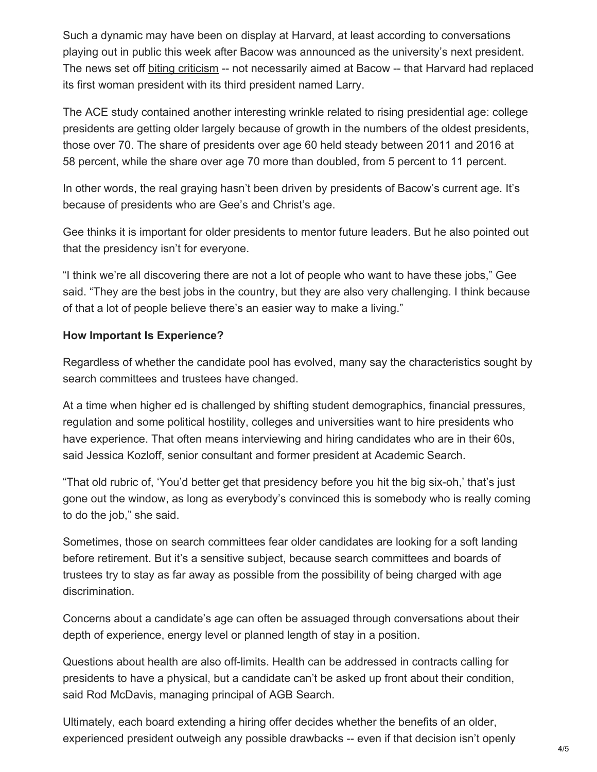Such a dynamic may have been on display at Harvard, at least according to conversations playing out in public this week after Bacow was announced as the university's next president. The news set off biting [criticism](https://twitter.com/Gates5280/status/963096127494115328) -- not necessarily aimed at Bacow -- that Harvard had replaced its first woman president with its third president named Larry.

The ACE study contained another interesting wrinkle related to rising presidential age: college presidents are getting older largely because of growth in the numbers of the oldest presidents, those over 70. The share of presidents over age 60 held steady between 2011 and 2016 at 58 percent, while the share over age 70 more than doubled, from 5 percent to 11 percent.

In other words, the real graying hasn't been driven by presidents of Bacow's current age. It's because of presidents who are Gee's and Christ's age.

Gee thinks it is important for older presidents to mentor future leaders. But he also pointed out that the presidency isn't for everyone.

"I think we're all discovering there are not a lot of people who want to have these jobs," Gee said. "They are the best jobs in the country, but they are also very challenging. I think because of that a lot of people believe there's an easier way to make a living."

## **How Important Is Experience?**

Regardless of whether the candidate pool has evolved, many say the characteristics sought by search committees and trustees have changed.

At a time when higher ed is challenged by shifting student demographics, financial pressures, regulation and some political hostility, colleges and universities want to hire presidents who have experience. That often means interviewing and hiring candidates who are in their 60s, said Jessica Kozloff, senior consultant and former president at Academic Search.

"That old rubric of, 'You'd better get that presidency before you hit the big six-oh,' that's just gone out the window, as long as everybody's convinced this is somebody who is really coming to do the job," she said.

Sometimes, those on search committees fear older candidates are looking for a soft landing before retirement. But it's a sensitive subject, because search committees and boards of trustees try to stay as far away as possible from the possibility of being charged with age discrimination.

Concerns about a candidate's age can often be assuaged through conversations about their depth of experience, energy level or planned length of stay in a position.

Questions about health are also off-limits. Health can be addressed in contracts calling for presidents to have a physical, but a candidate can't be asked up front about their condition, said Rod McDavis, managing principal of AGB Search.

Ultimately, each board extending a hiring offer decides whether the benefits of an older, experienced president outweigh any possible drawbacks -- even if that decision isn't openly